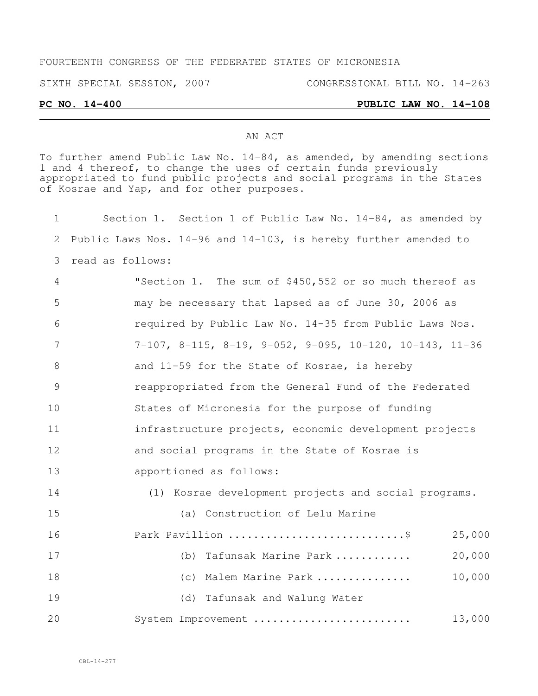#### FOURTEENTH CONGRESS OF THE FEDERATED STATES OF MICRONESIA

#### SIXTH SPECIAL SESSION, 2007 CONGRESSIONAL BILL NO. 14-263

#### **PC NO. 14-400 PUBLIC LAW NO. 14-108**

## AN ACT

To further amend Public Law No. 14-84, as amended, by amending sections 1 and 4 thereof, to change the uses of certain funds previously appropriated to fund public projects and social programs in the States of Kosrae and Yap, and for other purposes.

| 1  | Section 1. Section 1 of Public Law No. 14-84, as amended by     |
|----|-----------------------------------------------------------------|
| 2  | Public Laws Nos. 14-96 and 14-103, is hereby further amended to |
| 3  | read as follows:                                                |
| 4  | "Section 1. The sum of \$450,552 or so much thereof as          |
| 5  | may be necessary that lapsed as of June 30, 2006 as             |
| 6  | required by Public Law No. 14-35 from Public Laws Nos.          |
| 7  | $7-107$ , 8-115, 8-19, 9-052, 9-095, 10-120, 10-143, 11-36      |
| 8  | and 11-59 for the State of Kosrae, is hereby                    |
| 9  | reappropriated from the General Fund of the Federated           |
| 10 | States of Micronesia for the purpose of funding                 |
| 11 | infrastructure projects, economic development projects          |
| 12 | and social programs in the State of Kosrae is                   |
| 13 | apportioned as follows:                                         |
| 14 | (1) Kosrae development projects and social programs.            |
| 15 | (a) Construction of Lelu Marine                                 |
| 16 | Park Pavillion \$<br>25,000                                     |
| 17 | 20,000<br>(b) Tafunsak Marine Park                              |
| 18 | 10,000<br>(c) Malem Marine Park                                 |
| 19 | (d) Tafunsak and Walung Water                                   |
| 20 | 13,000<br>System Improvement                                    |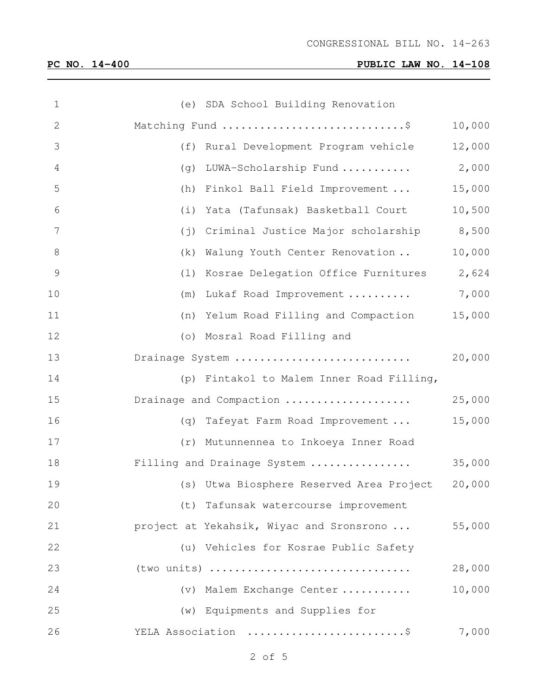# **PC NO. 14-400 PUBLIC LAW NO. 14-108**

| $\mathbf 1$   |     | (e) SDA School Building Renovation              |        |
|---------------|-----|-------------------------------------------------|--------|
| $\mathbf{2}$  |     | Matching Fund \$                                | 10,000 |
| 3             | (f) | Rural Development Program vehicle               | 12,000 |
| 4             | (q) | LUWA-Scholarship Fund                           | 2,000  |
| 5             | (h) | Finkol Ball Field Improvement                   | 15,000 |
| 6             | (i) | Yata (Tafunsak) Basketball Court                | 10,500 |
| 7             | (j) | Criminal Justice Major scholarship 8,500        |        |
| 8             | (k) | Walung Youth Center Renovation                  | 10,000 |
| $\mathcal{G}$ |     | (1) Kosrae Delegation Office Furnitures         | 2,624  |
| 10            | (m) | Lukaf Road Improvement                          | 7,000  |
| 11            |     | (n) Yelum Road Filling and Compaction           | 15,000 |
| 12            |     | (o) Mosral Road Filling and                     |        |
| 13            |     | Drainage System                                 | 20,000 |
| 14            |     | (p) Fintakol to Malem Inner Road Filling,       |        |
| 15            |     | Drainage and Compaction                         | 25,000 |
| 16            | (q) | Tafeyat Farm Road Improvement                   | 15,000 |
| 17            |     | (r) Mutunnennea to Inkoeya Inner Road           |        |
| 18            |     | Filling and Drainage System                     | 35,000 |
| 19            |     | (s) Utwa Biosphere Reserved Area Project 20,000 |        |
| 20            |     | (t) Tafunsak watercourse improvement            |        |
| 21            |     | project at Yekahsik, Wiyac and Sronsrono        | 55,000 |
| 22            |     | (u) Vehicles for Kosrae Public Safety           |        |
| 23            |     | (two units)                                     | 28,000 |
| 24            |     | (v) Malem Exchange Center                       | 10,000 |
| 25            |     | (w) Equipments and Supplies for                 |        |
| 26            |     | YELA Association \$                             | 7,000  |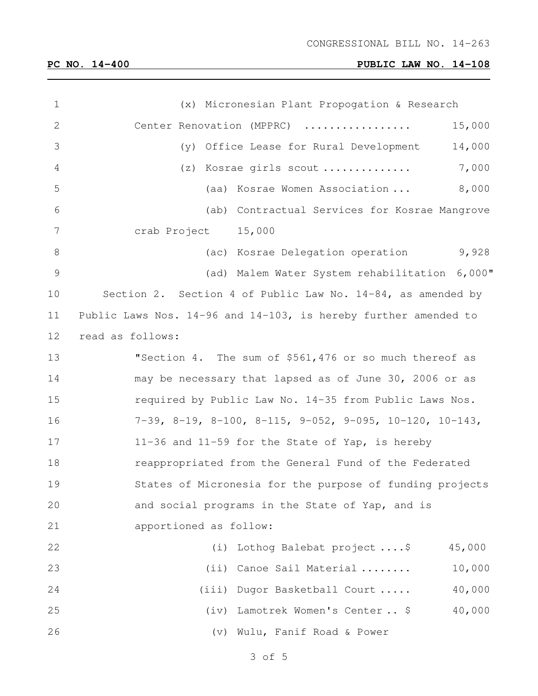## CONGRESSIONAL BILL NO. 14-263

# **PC NO. 14-400 PUBLIC LAW NO. 14-108**

| $\mathbf 1$     | (x) Micronesian Plant Propogation & Research                                    |
|-----------------|---------------------------------------------------------------------------------|
| $\mathbf{2}$    | 15,000<br>Center Renovation (MPPRC)                                             |
| 3               | 14,000<br>(y) Office Lease for Rural Development                                |
| 4               | 7,000<br>(z) Kosrae girls scout                                                 |
| 5               | 8,000<br>(aa) Kosrae Women Association                                          |
| 6               | (ab) Contractual Services for Kosrae Mangrove                                   |
| $7\phantom{.0}$ | crab Project 15,000                                                             |
| 8               | 9,928<br>(ac) Kosrae Delegation operation                                       |
| $\mathcal{G}$   | (ad) Malem Water System rehabilitation 6,000"                                   |
| 10              | Section 2. Section 4 of Public Law No. 14-84, as amended by                     |
| 11              | Public Laws Nos. 14-96 and 14-103, is hereby further amended to                 |
| 12              | read as follows:                                                                |
| 13              | "Section 4. The sum of \$561,476 or so much thereof as                          |
| 14              | may be necessary that lapsed as of June 30, 2006 or as                          |
| 15              | required by Public Law No. 14-35 from Public Laws Nos.                          |
| 16              | $7-39$ , $8-19$ , $8-100$ , $8-115$ , $9-052$ , $9-095$ , $10-120$ , $10-143$ , |
| 17              | 11-36 and 11-59 for the State of Yap, is hereby                                 |
| 18              | reappropriated from the General Fund of the Federated                           |
| 19              | States of Micronesia for the purpose of funding projects                        |
| 20              | and social programs in the State of Yap, and is                                 |
| 21              | apportioned as follow:                                                          |
| 22              | Lothog Balebat project  \$<br>45,000<br>(i)                                     |
| 23              | (ii) Canoe Sail Material<br>10,000                                              |
| 24              | 40,000<br>(iii) Dugor Basketball Court                                          |
| 25              | 40,000<br>(iv) Lamotrek Women's Center \$                                       |
| 26              | (v) Wulu, Fanif Road & Power                                                    |
|                 |                                                                                 |

of 5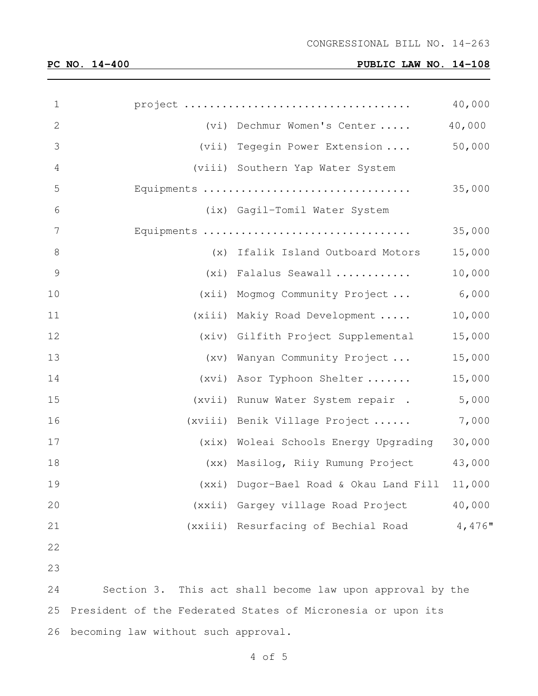# **PC NO. 14-400 PUBLIC LAW NO. 14-108**

| $\mathbf 1$    |                                                           | 40,000    |
|----------------|-----------------------------------------------------------|-----------|
| $\mathbf{2}$   | (vi) Dechmur Women's Center                               | 40,000    |
| 3              | (vii) Tegegin Power Extension  50,000                     |           |
| $\sqrt{4}$     | (viii) Southern Yap Water System                          |           |
| 5              | Equipments                                                | 35,000    |
| $\sqrt{6}$     | (ix) Gagil-Tomil Water System                             |           |
| $\overline{7}$ | Equipments                                                | 35,000    |
| $8\,$          | (x) Ifalik Island Outboard Motors                         | 15,000    |
| $\overline{9}$ | (xi) Falalus Seawall                                      | 10,000    |
| 10             | (xii) Mogmog Community Project                            | 6,000     |
| 11             | (xiii) Makiy Road Development                             | 10,000    |
| 12             | (xiv) Gilfith Project Supplemental                        | 15,000    |
| 13             | (xv) Wanyan Community Project                             | 15,000    |
| 14             | (xvi) Asor Typhoon Shelter                                | 15,000    |
| 15             | (xvii) Runuw Water System repair.                         | 5,000     |
| 16             | (xviii) Benik Village Project                             | 7,000     |
| 17             | (xix) Woleai Schools Energy Upgrading                     | 30,000    |
| 18             | (xx) Masiloq, Riiy Rumung Project                         | 43,000    |
| 19             | (xxi) Dugor-Bael Road & Okau Land Fill                    | 11,000    |
| 20             | (xxii) Gargey village Road Project                        | 40,000    |
| 21             | (xxiii) Resurfacing of Bechial Road                       | $4,476$ " |
| 22             |                                                           |           |
| 23             |                                                           |           |
| 24             | Section 3. This act shall become law upon approval by the |           |
|                |                                                           |           |

 President of the Federated States of Micronesia or upon its becoming law without such approval.

of 5